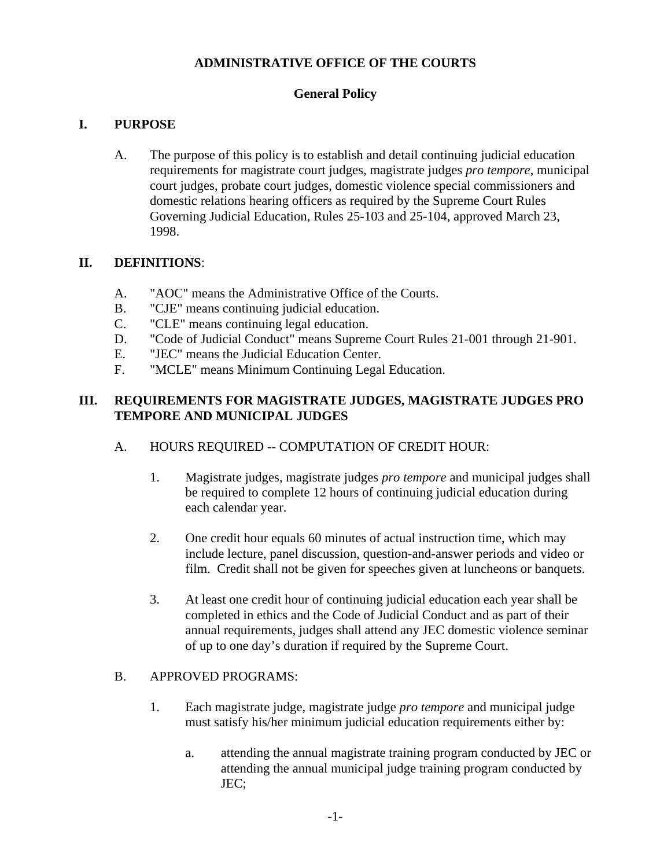### **ADMINISTRATIVE OFFICE OF THE COURTS**

### **General Policy**

## **I. PURPOSE**

A. The purpose of this policy is to establish and detail continuing judicial education requirements for magistrate court judges, magistrate judges *pro tempore*, municipal court judges, probate court judges, domestic violence special commissioners and domestic relations hearing officers as required by the Supreme Court Rules Governing Judicial Education, Rules 25-103 and 25-104, approved March 23, 1998.

#### **II. DEFINITIONS**:

- A. "AOC" means the Administrative Office of the Courts.
- B. "CJE" means continuing judicial education.
- C. "CLE" means continuing legal education.
- D. "Code of Judicial Conduct" means Supreme Court Rules 21-001 through 21-901.
- E. "JEC" means the Judicial Education Center.
- F. "MCLE" means Minimum Continuing Legal Education.

#### **III. REQUIREMENTS FOR MAGISTRATE JUDGES, MAGISTRATE JUDGES PRO TEMPORE AND MUNICIPAL JUDGES**

- A. HOURS REQUIRED -- COMPUTATION OF CREDIT HOUR:
	- 1. Magistrate judges, magistrate judges *pro tempore* and municipal judges shall be required to complete 12 hours of continuing judicial education during each calendar year.
	- 2. One credit hour equals 60 minutes of actual instruction time, which may include lecture, panel discussion, question-and-answer periods and video or film. Credit shall not be given for speeches given at luncheons or banquets.
	- 3. At least one credit hour of continuing judicial education each year shall be completed in ethics and the Code of Judicial Conduct and as part of their annual requirements, judges shall attend any JEC domestic violence seminar of up to one day's duration if required by the Supreme Court.

#### B. APPROVED PROGRAMS:

- 1. Each magistrate judge, magistrate judge *pro tempore* and municipal judge must satisfy his/her minimum judicial education requirements either by:
	- a. attending the annual magistrate training program conducted by JEC or attending the annual municipal judge training program conducted by JEC;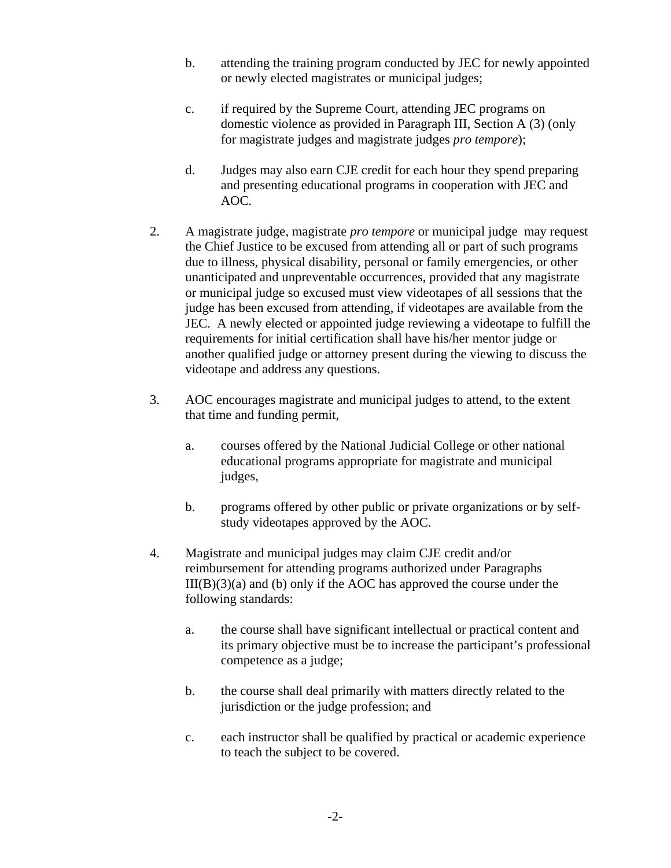- b. attending the training program conducted by JEC for newly appointed or newly elected magistrates or municipal judges;
- c. if required by the Supreme Court, attending JEC programs on domestic violence as provided in Paragraph III, Section A (3) (only for magistrate judges and magistrate judges *pro tempore*);
- d. Judges may also earn CJE credit for each hour they spend preparing and presenting educational programs in cooperation with JEC and AOC.
- 2. A magistrate judge, magistrate *pro tempore* or municipal judge may request the Chief Justice to be excused from attending all or part of such programs due to illness, physical disability, personal or family emergencies, or other unanticipated and unpreventable occurrences, provided that any magistrate or municipal judge so excused must view videotapes of all sessions that the judge has been excused from attending, if videotapes are available from the JEC. A newly elected or appointed judge reviewing a videotape to fulfill the requirements for initial certification shall have his/her mentor judge or another qualified judge or attorney present during the viewing to discuss the videotape and address any questions.
- 3. AOC encourages magistrate and municipal judges to attend, to the extent that time and funding permit,
	- a. courses offered by the National Judicial College or other national educational programs appropriate for magistrate and municipal judges,
	- b. programs offered by other public or private organizations or by selfstudy videotapes approved by the AOC.
- 4. Magistrate and municipal judges may claim CJE credit and/or reimbursement for attending programs authorized under Paragraphs  $III(B)(3)(a)$  and (b) only if the AOC has approved the course under the following standards:
	- a. the course shall have significant intellectual or practical content and its primary objective must be to increase the participant's professional competence as a judge;
	- b. the course shall deal primarily with matters directly related to the jurisdiction or the judge profession; and
	- c. each instructor shall be qualified by practical or academic experience to teach the subject to be covered.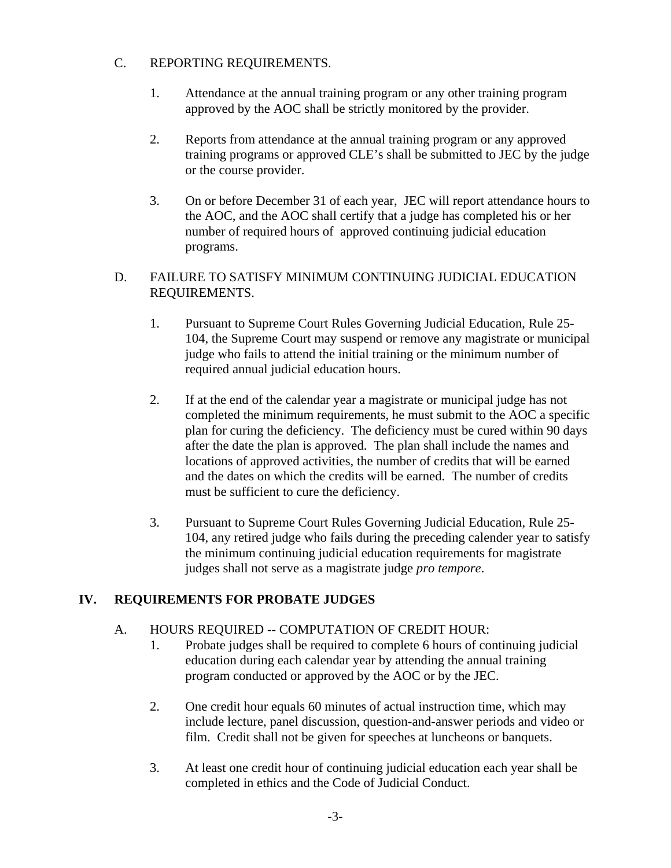### C. REPORTING REQUIREMENTS.

- 1. Attendance at the annual training program or any other training program approved by the AOC shall be strictly monitored by the provider.
- 2. Reports from attendance at the annual training program or any approved training programs or approved CLE's shall be submitted to JEC by the judge or the course provider.
- 3. On or before December 31 of each year, JEC will report attendance hours to the AOC, and the AOC shall certify that a judge has completed his or her number of required hours of approved continuing judicial education programs.

### D. FAILURE TO SATISFY MINIMUM CONTINUING JUDICIAL EDUCATION REQUIREMENTS.

- 1. Pursuant to Supreme Court Rules Governing Judicial Education, Rule 25- 104, the Supreme Court may suspend or remove any magistrate or municipal judge who fails to attend the initial training or the minimum number of required annual judicial education hours.
- 2. If at the end of the calendar year a magistrate or municipal judge has not completed the minimum requirements, he must submit to the AOC a specific plan for curing the deficiency. The deficiency must be cured within 90 days after the date the plan is approved. The plan shall include the names and locations of approved activities, the number of credits that will be earned and the dates on which the credits will be earned. The number of credits must be sufficient to cure the deficiency.
- 3. Pursuant to Supreme Court Rules Governing Judicial Education, Rule 25- 104, any retired judge who fails during the preceding calender year to satisfy the minimum continuing judicial education requirements for magistrate judges shall not serve as a magistrate judge *pro tempore*.

# **IV. REQUIREMENTS FOR PROBATE JUDGES**

## A. HOURS REQUIRED -- COMPUTATION OF CREDIT HOUR:

- 1. Probate judges shall be required to complete 6 hours of continuing judicial education during each calendar year by attending the annual training program conducted or approved by the AOC or by the JEC.
- 2. One credit hour equals 60 minutes of actual instruction time, which may include lecture, panel discussion, question-and-answer periods and video or film. Credit shall not be given for speeches at luncheons or banquets.
- 3. At least one credit hour of continuing judicial education each year shall be completed in ethics and the Code of Judicial Conduct.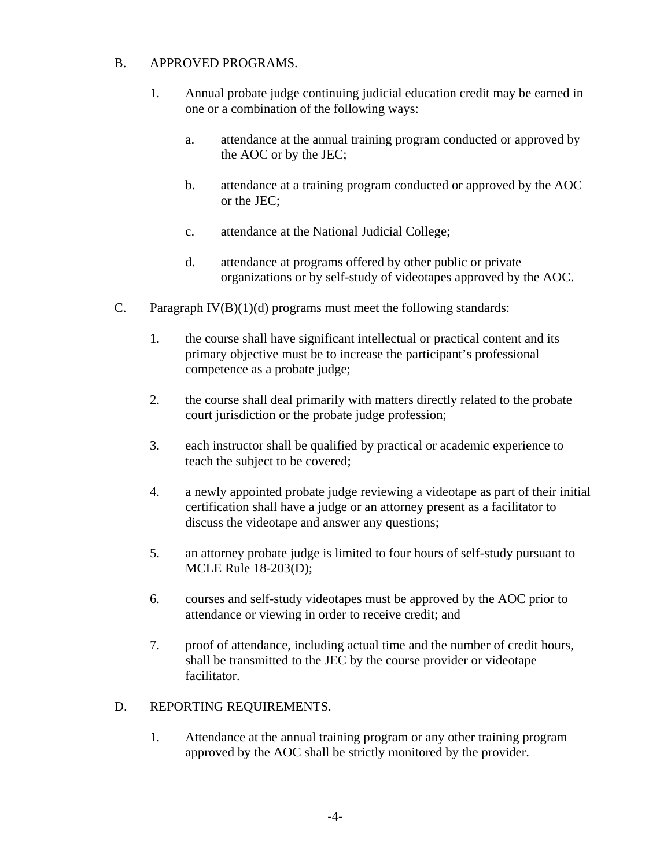#### B. APPROVED PROGRAMS.

- 1. Annual probate judge continuing judicial education credit may be earned in one or a combination of the following ways:
	- a. attendance at the annual training program conducted or approved by the AOC or by the JEC;
	- b. attendance at a training program conducted or approved by the AOC or the JEC;
	- c. attendance at the National Judicial College;
	- d. attendance at programs offered by other public or private organizations or by self-study of videotapes approved by the AOC.
- C. Paragraph  $IV(B)(1)(d)$  programs must meet the following standards:
	- 1. the course shall have significant intellectual or practical content and its primary objective must be to increase the participant's professional competence as a probate judge;
	- 2. the course shall deal primarily with matters directly related to the probate court jurisdiction or the probate judge profession;
	- 3. each instructor shall be qualified by practical or academic experience to teach the subject to be covered;
	- 4. a newly appointed probate judge reviewing a videotape as part of their initial certification shall have a judge or an attorney present as a facilitator to discuss the videotape and answer any questions;
	- 5. an attorney probate judge is limited to four hours of self-study pursuant to MCLE Rule 18-203(D);
	- 6. courses and self-study videotapes must be approved by the AOC prior to attendance or viewing in order to receive credit; and
	- 7. proof of attendance, including actual time and the number of credit hours, shall be transmitted to the JEC by the course provider or videotape facilitator.

#### D. REPORTING REQUIREMENTS.

1. Attendance at the annual training program or any other training program approved by the AOC shall be strictly monitored by the provider.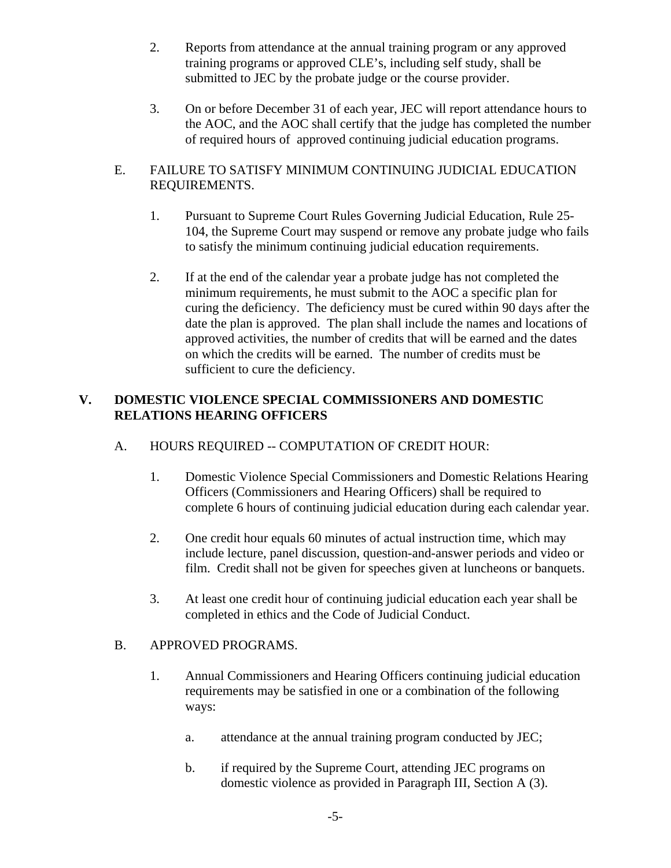- 2. Reports from attendance at the annual training program or any approved training programs or approved CLE's, including self study, shall be submitted to JEC by the probate judge or the course provider.
- 3. On or before December 31 of each year, JEC will report attendance hours to the AOC, and the AOC shall certify that the judge has completed the number of required hours of approved continuing judicial education programs.

### E. FAILURE TO SATISFY MINIMUM CONTINUING JUDICIAL EDUCATION REQUIREMENTS.

- 1. Pursuant to Supreme Court Rules Governing Judicial Education, Rule 25- 104, the Supreme Court may suspend or remove any probate judge who fails to satisfy the minimum continuing judicial education requirements.
- 2. If at the end of the calendar year a probate judge has not completed the minimum requirements, he must submit to the AOC a specific plan for curing the deficiency. The deficiency must be cured within 90 days after the date the plan is approved. The plan shall include the names and locations of approved activities, the number of credits that will be earned and the dates on which the credits will be earned. The number of credits must be sufficient to cure the deficiency.

### **V. DOMESTIC VIOLENCE SPECIAL COMMISSIONERS AND DOMESTIC RELATIONS HEARING OFFICERS**

## A. HOURS REQUIRED -- COMPUTATION OF CREDIT HOUR:

- 1. Domestic Violence Special Commissioners and Domestic Relations Hearing Officers (Commissioners and Hearing Officers) shall be required to complete 6 hours of continuing judicial education during each calendar year.
- 2. One credit hour equals 60 minutes of actual instruction time, which may include lecture, panel discussion, question-and-answer periods and video or film. Credit shall not be given for speeches given at luncheons or banquets.
- 3. At least one credit hour of continuing judicial education each year shall be completed in ethics and the Code of Judicial Conduct.

#### B. APPROVED PROGRAMS.

- 1. Annual Commissioners and Hearing Officers continuing judicial education requirements may be satisfied in one or a combination of the following ways:
	- a. attendance at the annual training program conducted by JEC;
	- b. if required by the Supreme Court, attending JEC programs on domestic violence as provided in Paragraph III, Section A (3).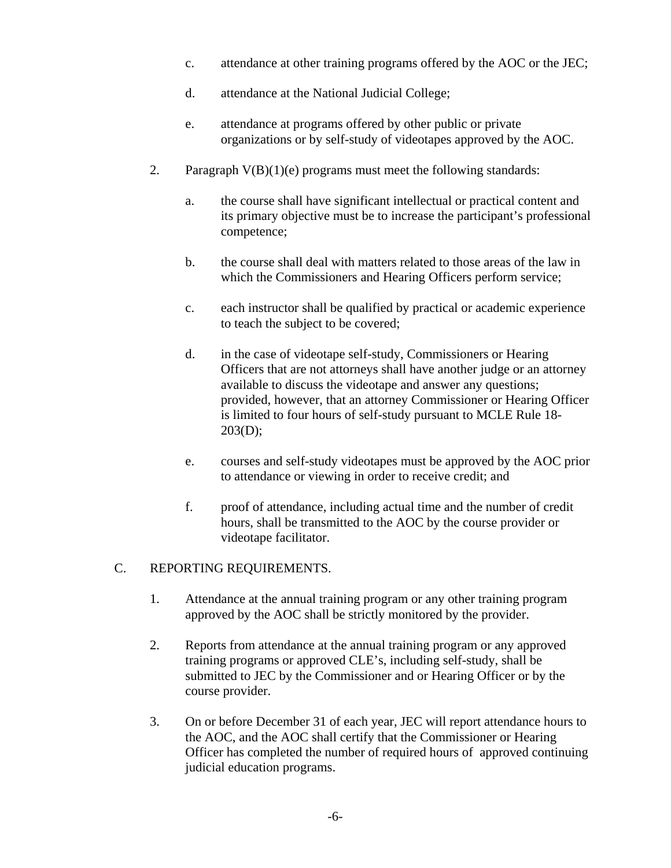- c. attendance at other training programs offered by the AOC or the JEC;
- d. attendance at the National Judicial College;
- e. attendance at programs offered by other public or private organizations or by self-study of videotapes approved by the AOC.
- 2. Paragraph  $V(B)(1)(e)$  programs must meet the following standards:
	- a. the course shall have significant intellectual or practical content and its primary objective must be to increase the participant's professional competence;
	- b. the course shall deal with matters related to those areas of the law in which the Commissioners and Hearing Officers perform service;
	- c. each instructor shall be qualified by practical or academic experience to teach the subject to be covered;
	- d. in the case of videotape self-study, Commissioners or Hearing Officers that are not attorneys shall have another judge or an attorney available to discuss the videotape and answer any questions; provided, however, that an attorney Commissioner or Hearing Officer is limited to four hours of self-study pursuant to MCLE Rule 18-  $203(D);$
	- e. courses and self-study videotapes must be approved by the AOC prior to attendance or viewing in order to receive credit; and
	- f. proof of attendance, including actual time and the number of credit hours, shall be transmitted to the AOC by the course provider or videotape facilitator.

#### C. REPORTING REQUIREMENTS.

- 1. Attendance at the annual training program or any other training program approved by the AOC shall be strictly monitored by the provider.
- 2. Reports from attendance at the annual training program or any approved training programs or approved CLE's, including self-study, shall be submitted to JEC by the Commissioner and or Hearing Officer or by the course provider.
- 3. On or before December 31 of each year, JEC will report attendance hours to the AOC, and the AOC shall certify that the Commissioner or Hearing Officer has completed the number of required hours of approved continuing judicial education programs.